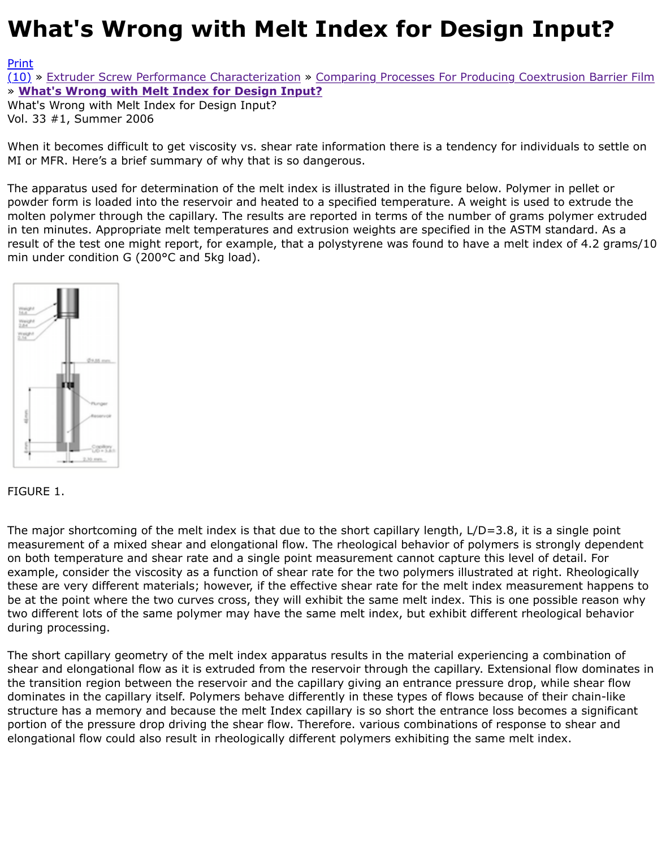## Vol. 33 #1, Summer 2006

When it becomes difficult to get viscosity vs. shear rate information there is a tendency for individual MI or MFR. Here's a brief summary of why that is so dangerous.

[The](http://extrusionwiki.com/wiki/CC-V33-1-H.ashx#) [a](http://extrusionwiki.com/wiki/Print.aspx?Page=CC-V33-1-H)p[paratus used for determination of the melt ind](http://extrusionwiki.com/wiki/CC-V33-1-F.ashx)ex is illustrated in the figure below. Polymer in p[owder form is loaded into the reservoir and heated to a](http://extrusionwiki.com/wiki/CC-V33-1-H.ashx) specified temperature. A weight is used to molten polymer through the capillary. The results are reported in terms of the number of grams pol in ten minutes. Appropriate melt temperatures and extrusion weights are specified in the ASTM star result of the test one might report, for example, that a polystyrene was found to have a melt index min under condition G (200°C and 5kg load).



FIGURE 1.

The major shortcoming of the melt index is that due to the short capillary length, L/D=3.8, it is a si measurement of a mixed shear and elongational flow. The rheological behavior of polymers is strone on both temperature and shear rate and a single point measurement cannot capture this level of de example, consider the viscosity as a function of shear rate for the two polymers illustrated at right. these are very different materials; however, if the effective shear rate for the melt index measurem be at the point where the two curves cross, they will exhibit the same melt index. This is one possib two different lots of the same polymer may have the same melt index, but exhibit different rheologi during processing.

The short capillary geometry of the melt index apparatus results in the material experiencing a com shear and elongational flow as it is extruded from the reservoir through the capillary. Extensional flo the transition region between the reservoir and the capillary giving an entrance pressure drop, while dominates in the capillary itself. Polymers behave differently in these types of flows because of their structure has a memory and because the melt Index capillary is so short the entrance loss becomes portion of the pressure drop driving the shear flow. Therefore. various combinations of response to elongational flow could also result in rheologically different polymers exhibiting the same melt index.